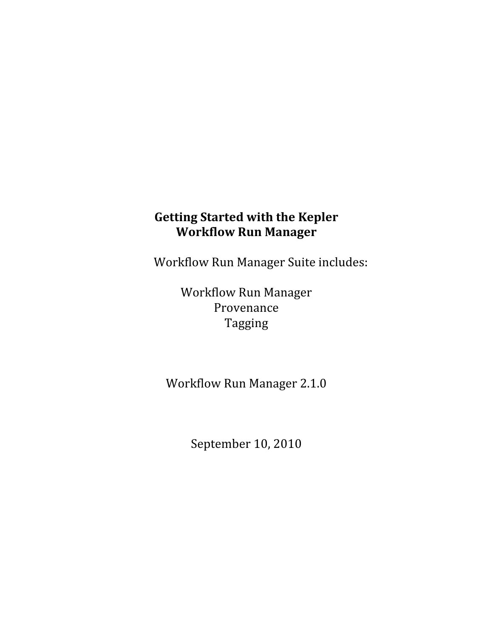# **Getting Started with the Kepler Workflow Run Manager**

Workflow Run Manager Suite includes:

Workflow Run Manager Provenance Tagging

Workflow Run Manager 2.1.0

September 10, 2010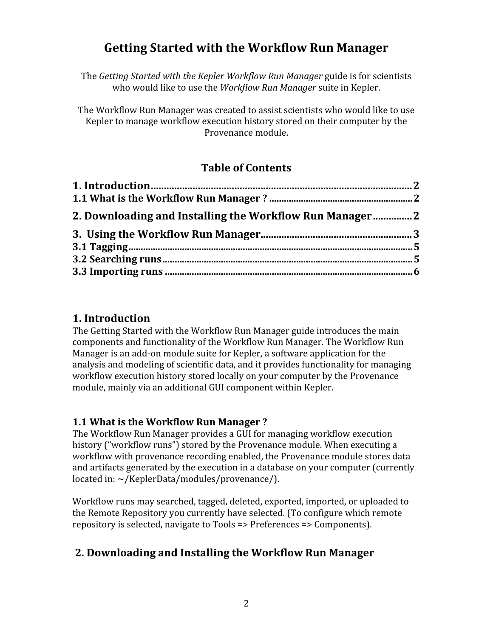# **Getting Started with the Workflow Run Manager**

The *Getting Started with the Kepler Workflow Run Manager* guide is for scientists who would like to use the *Workflow Run Manager* suite in Kepler.

The Workflow Run Manager was created to assist scientists who would like to use Kepler to manage workflow execution history stored on their computer by the Provenance module.

## **Table of Contents**

| 2. Downloading and Installing the Workflow Run Manager |  |
|--------------------------------------------------------|--|
|                                                        |  |
|                                                        |  |
|                                                        |  |
|                                                        |  |

### **1. Introduction**

The Getting Started with the Workflow Run Manager guide introduces the main components and functionality of the Workflow Run Manager. The Workflow Run Manager is an add‐on module suite for Kepler, a software application for the analysis and modeling of scientific data, and it provides functionality for managing workflow execution history stored locally on your computer by the Provenance module, mainly via an additional GUI component within Kepler.

### **1.1 What is the Workflow Run Manager ?**

The Workflow Run Manager provides a GUI for managing workflow execution history ("workflow runs") stored by the Provenance module. When executing a workflow with provenance recording enabled, the Provenance module stores data and artifacts generated by the execution in a database on your computer (currently located in: ~/KeplerData/modules/provenance/).

Workflow runs may searched, tagged, deleted, exported, imported, or uploaded to the Remote Repository you currently have selected. (To configure which remote repository is selected, navigate to Tools => Preferences => Components).

## **2. Downloading and Installing the Workflow Run Manager**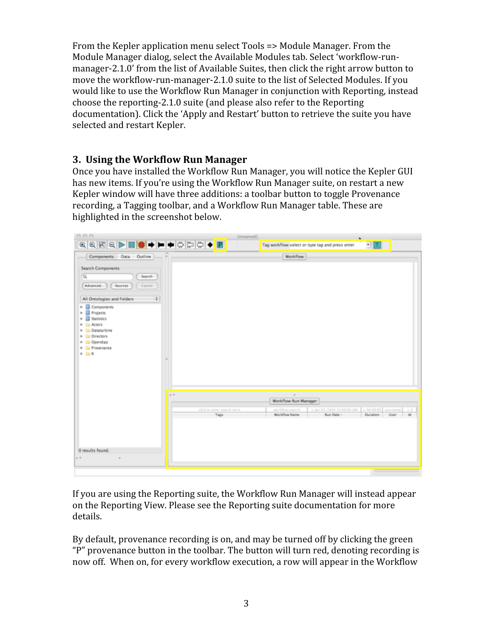From the Kepler application menu select Tools => Module Manager. From the Module Manager dialog, select the Available Modules tab. Select 'workflow‐run‐ manager-2.1.0' from the list of Available Suites, then click the right arrow button to move the workflow-run-manager-2.1.0 suite to the list of Selected Modules. If you would like to use the Workflow Run Manager in conjunction with Reporting, instead choose the reporting‐2.1.0 suite (and please also refer to the Reporting documentation). Click the 'Apply and Restart' button to retrieve the suite you have selected and restart Kepler.

#### **3. Using the Workflow Run Manager**

Once you have installed the Workflow Run Manager, you will notice the Kepler GUI has new items. If you're using the Workflow Run Manager suite, on restart a new Kepler window will have three additions: a toolbar button to toggle Provenance recording, a Tagging toolbar, and a Workflow Run Manager table. These are highlighted in the screenshot below.



If you are using the Reporting suite, the Workflow Run Manager will instead appear on the Reporting View. Please see the Reporting suite documentation for more details.

By default, provenance recording is on, and may be turned off by clicking the green "P" provenance button in the toolbar. The button will turn red, denoting recording is now off. When on, for every workflow execution, a row will appear in the Workflow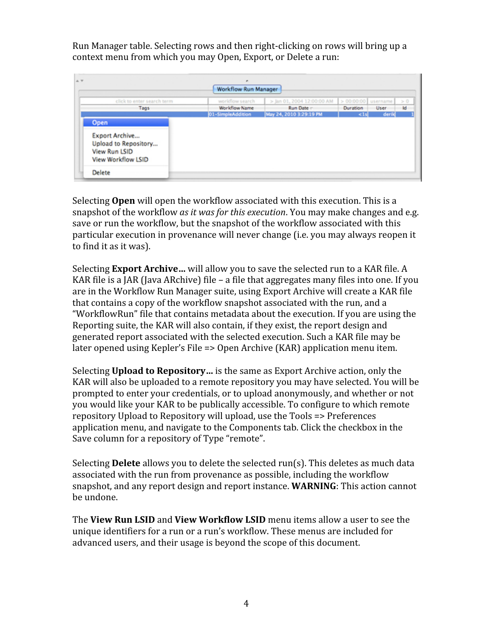Run Manager table. Selecting rows and then right‐clicking on rows will bring up a context menu from which you may Open, Export, or Delete a run:



Selecting **Open** will open the workflow associated with this execution. This is a snapshot of the workflow *as it was for this execution*. You may make changes and e.g. save or run the workflow, but the snapshot of the workflow associated with this particular execution in provenance will never change (i.e. you may always reopen it to find it as it was).

Selecting **Export Archive…** will allow you to save the selected run to a KAR file. A KAR file is a JAR (Java ARchive) file – a file that aggregates many files into one. If you are in the Workflow Run Manager suite, using Export Archive will create a KAR file that contains a copy of the workflow snapshot associated with the run, and a "WorkflowRun" file that contains metadata about the execution. If you are using the Reporting suite, the KAR will also contain, if they exist, the report design and generated report associated with the selected execution. Such a KAR file may be later opened using Kepler's File => Open Archive (KAR) application menu item.

Selecting **Upload to Repository…** is the same as Export Archive action, only the KAR will also be uploaded to a remote repository you may have selected. You will be prompted to enter your credentials, or to upload anonymously, and whether or not you would like your KAR to be publically accessible. To configure to which remote repository Upload to Repository will upload, use the Tools => Preferences application menu, and navigate to the Components tab. Click the checkbox in the Save column for a repository of Type "remote".

Selecting **Delete** allows you to delete the selected run(s). This deletes as much data associated with the run from provenance as possible, including the workflow snapshot, and any report design and report instance. **WARNING**: This action cannot be undone.

The **View Run LSID** and **View Workflow LSID** menu items allow a user to see the unique identifiers for a run or a run's workflow. These menus are included for advanced users, and their usage is beyond the scope of this document.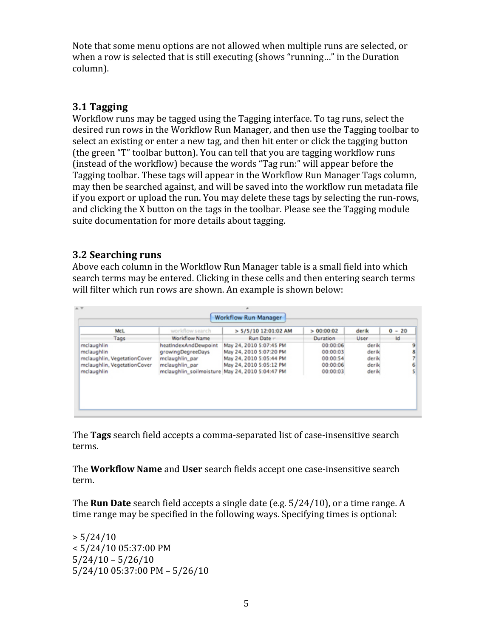Note that some menu options are not allowed when multiple runs are selected, or when a row is selected that is still executing (shows "running…" in the Duration column).

## **3.1 Tagging**

Workflow runs may be tagged using the Tagging interface. To tag runs, select the desired run rows in the Workflow Run Manager, and then use the Tagging toolbar to select an existing or enter a new tag, and then hit enter or click the tagging button (the green "T" toolbar button). You can tell that you are tagging workflow runs (instead of the workflow) because the words "Tag run:" will appear before the Tagging toolbar. These tags will appear in the Workflow Run Manager Tags column, may then be searched against, and will be saved into the workflow run metadata file if you export or upload the run. You may delete these tags by selecting the run‐rows, and clicking the X button on the tags in the toolbar. Please see the Tagging module suite documentation for more details about tagging.

#### **3.2 Searching runs**

Above each column in the Workflow Run Manager table is a small field into which search terms may be entered. Clicking in these cells and then entering search terms will filter which run rows are shown. An example is shown below:

| McL                                                                                                  | workflow search                                                               | > 5/5/10 12:01:02 AM                                                                                                                                        | > 00:00:02                                               | derik                                     | $0 - 20$  |
|------------------------------------------------------------------------------------------------------|-------------------------------------------------------------------------------|-------------------------------------------------------------------------------------------------------------------------------------------------------------|----------------------------------------------------------|-------------------------------------------|-----------|
| Tags                                                                                                 | <b>Workflow Name</b>                                                          | Run Date -                                                                                                                                                  | Duration                                                 | User                                      | <b>Id</b> |
| mclaughlin<br>mclaughlin<br>mclaughlin, VegetationCover<br>mclaughlin, VegetationCover<br>mclaughlin | heatIndexAndDewpoint<br>growingDegreeDays<br>mclaughlin par<br>mclaughlin par | May 24, 2010 5:07:45 PM<br>May 24, 2010 5:07:20 PM<br>May 24, 2010 5:05:44 PM<br>May 24, 2010 5:05:12 PM<br>mclaughlin_soilmoisture May 24, 2010 5:04:47 PM | 00:00:06<br>00:00:03<br>00:00:54<br>00:00:06<br>00:00:03 | derik<br>derik<br>derik<br>derik<br>derik |           |

The **Tags** search field accepts a comma‐separated list of case‐insensitive search terms.

The **Workflow Name** and **User** search fields accept one case‐insensitive search term.

The **Run Date** search field accepts a single date (e.g. 5/24/10), or a time range. A time range may be specified in the following ways. Specifying times is optional:

 $> 5/24/10$ < 5/24/10 05:37:00 PM  $5/24/10 - 5/26/10$ 5/24/10 05:37:00 PM – 5/26/10